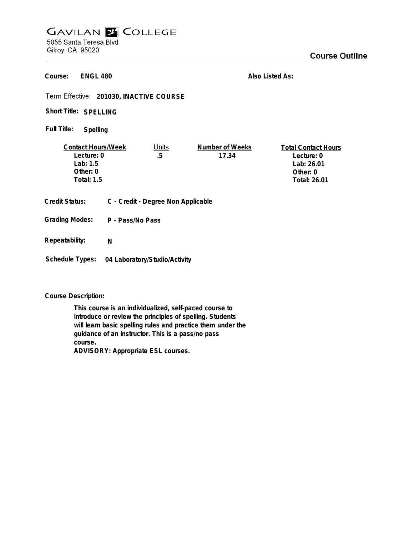## **GAVILAN E COLLEGE** 5055 Santa Teresa Blvd

Gilroy, CA 95020

## **Course Outline**

**ENGL 480 Course:**

**Also Listed As:**

**201030, INACTIVE COURSE**

Short Title: SPELLING

**Spelling Full Title:**

| <b>Contact Hours/Week</b> | Units | Number of Weeks | <b>Total Contact Hours</b> |
|---------------------------|-------|-----------------|----------------------------|
| Lecture: 0                | .5    | 17.34           | Lecture: 0                 |
| 1ab:1.5                   |       |                 | Lab: 26.01                 |
| Other: $0$                |       |                 | Other: 0                   |
| Total: 1.5                |       |                 | Total: 26.01               |
|                           |       |                 |                            |

**Credit Status: C - Credit - Degree Non Applicable**

**P - Pass/No Pass Grading Modes:**

**Repeatability: N**

**Schedule Types: 04 Laboratory/Studio/Activity**

**Course Description:**

**This course is an individualized, self-paced course to introduce or review the principles of spelling. Students will learn basic spelling rules and practice them under the guidance of an instructor. This is a pass/no pass course. ADVISORY: Appropriate ESL courses.**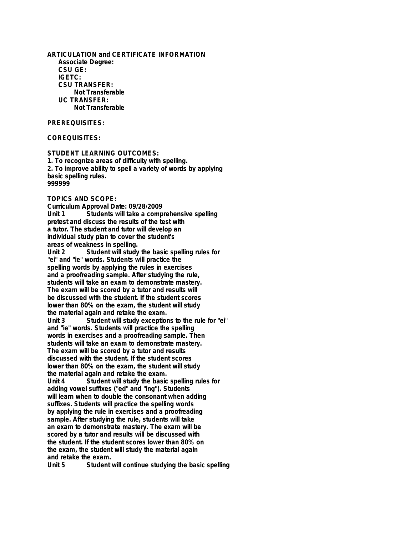**ARTICULATION and CERTIFICATE INFORMATION Associate Degree: CSU GE: IGETC: CSU TRANSFER: Not Transferable UC TRANSFER: Not Transferable**

## **PREREQUISITES:**

**COREQUISITES:**

**STUDENT LEARNING OUTCOMES: 1. To recognize areas of difficulty with spelling. 2. To improve ability to spell a variety of words by applying basic spelling rules. 999999**

## **TOPICS AND SCOPE:**

**Curriculum Approval Date: 09/28/2009 Unit 1 Students will take a comprehensive spelling pretest and discuss the results of the test with a tutor. The student and tutor will develop an individual study plan to cover the student's areas of weakness in spelling.** Student will study the basic spelling rules for **"ei" and "ie" words. Students will practice the spelling words by applying the rules in exercises and a proofreading sample. After studying the rule, students will take an exam to demonstrate mastery. The exam will be scored by a tutor and results will be discussed with the student. If the student scores lower than 80% on the exam, the student will study the material again and retake the exam. Unit 3 Student will study exceptions to the rule for "ei" and "ie" words. Students will practice the spelling words in exercises and a proofreading sample. Then students will take an exam to demonstrate mastery. The exam will be scored by a tutor and results discussed with the student. If the student scores lower than 80% on the exam, the student will study the material again and retake the exam. Unit 4 Student will study the basic spelling rules for adding vowel suffixes ("ed" and "ing"). Students will learn when to double the consonant when adding suffixes. Students will practice the spelling words by applying the rule in exercises and a proofreading sample. After studying the rule, students will take an exam to demonstrate mastery. The exam will be scored by a tutor and results will be discussed with the student. If the student scores lower than 80% on the exam, the student will study the material again and retake the exam.**

Student will continue studying the basic spelling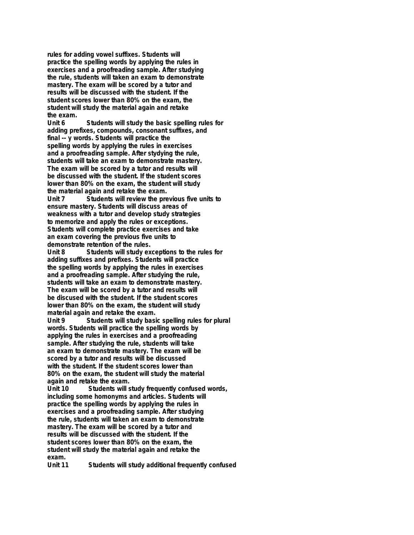**rules for adding vowel suffixes. Students will practice the spelling words by applying the rules in exercises and a proofreading sample. After studying the rule, students will taken an exam to demonstrate mastery. The exam will be scored by a tutor and results will be discussed with the student. If the student scores lower than 80% on the exam, the student will study the material again and retake the exam.**

**Unit 6 Students will study the basic spelling rules for adding prefixes, compounds, consonant suffixes, and final -- y words. Students will practice the spelling words by applying the rules in exercises and a proofreading sample. After stydying the rule, students will take an exam to demonstrate mastery. The exam will be scored by a tutor and results will be discussed with the student. If the student scores lower than 80% on the exam, the student will study the material again and retake the exam. Unit 7 Students will review the previous five units to ensure mastery. Students will discuss areas of weakness with a tutor and develop study strategies to memorize and apply the rules or exceptions. Students will complete practice exercises and take an exam covering the previous five units to**

**demonstrate retention of the rules.** Students will study exceptions to the rules for **adding suffixes and prefixes. Students will practice the spelling words by applying the rules in exercises and a proofreading sample. After studying the rule, students will take an exam to demonstrate mastery. The exam will be scored by a tutor and results will be discused with the student. If the student scores lower than 80% on the exam, the student will study material again and retake the exam.**

**Unit 9 Students will study basic spelling rules for plural words. Students will practice the spelling words by applying the rules in exercises and a proofreading sample. After studying the rule, students will take an exam to demonstrate mastery. The exam will be scored by a tutor and results will be discussed with the student. If the student scores lower than 80% on the exam, the student will study the material again and retake the exam.**

**Unit 10 Students will study frequently confused words, including some homonyms and articles. Students will practice the spelling words by applying the rules in exercises and a proofreading sample. After studying the rule, students will taken an exam to demonstrate mastery. The exam will be scored by a tutor and results will be discussed with the student. If the student scores lower than 80% on the exam, the student will study the material again and retake the exam.**

Students will study additional frequently confused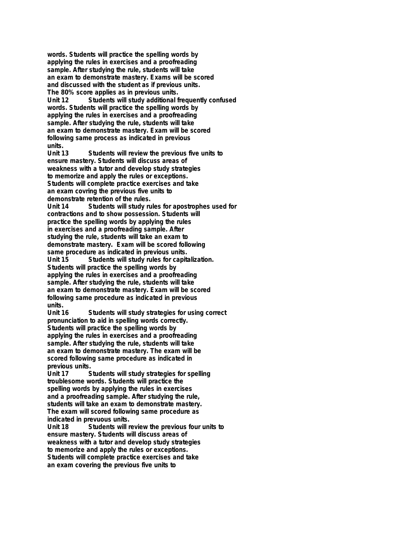**words. Students will practice the spelling words by applying the rules in exercises and a proofreading sample. After studying the rule, students will take an exam to demonstrate mastery. Exams will be scored and discussed with the student as if previous units. The 80% score applies as in previous units. Unit 12 Students will study additional frequently confused words. Students will practice the spelling words by applying the rules in exercises and a proofreading sample. After studying the rule, students will take an exam to demonstrate mastery. Exam will be scored following same process as indicated in previous units.**

**Unit 13 Students will review the previous five units to ensure mastery. Students will discuss areas of weakness with a tutor and develop study strategies to memorize and apply the rules or exceptions. Students will complete practice exercises and take an exam covring the previous five units to demonstrate retention of the rules. Unit 14 Students will study rules for apostrophes used for contractions and to show possession. Students will practice the spelling words by applying the rules in exercises and a proofreading sample. After studying the rule, students will take an exam to demonstrate mastery. Exam will be scored following same procedure as indicated in previous units.** Students will study rules for capitalization. **Students will practice the spelling words by applying the rules in exercises and a proofreading sample. After studying the rule, students will take an exam to demonstrate mastery. Exam will be scored following same procedure as indicated in previous units.**

Students will study strategies for using correct **pronunciation to aid in spelling words correctly. Students will practice the spelling words by applying the rules in exercises and a proofreading sample. After studying the rule, students will take an exam to demonstrate mastery. The exam will be scored following same procedure as indicated in previous units.**

Students will study strategies for spelling **troublesome words. Students will practice the spelling words by applying the rules in exercises and a proofreading sample. After studying the rule, students will take an exam to demonstrate mastery. The exam will scored following same procedure as indicated in prevuous units.**

Students will review the previous four units to **ensure mastery. Students will discuss areas of weakness with a tutor and develop study strategies to memorize and apply the rules or exceptions. Students will complete practice exercises and take an exam covering the previous five units to**